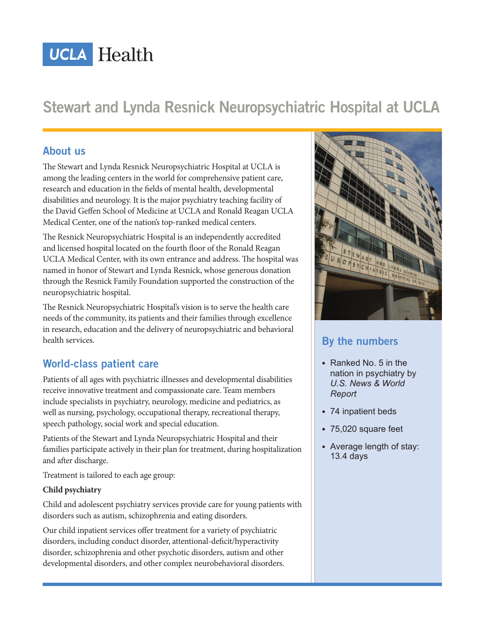# **UCLA Health**

## **Stewart and Lynda Resnick Neuropsychiatric Hospital at UCLA**

#### **About us**

The Stewart and Lynda Resnick Neuropsychiatric Hospital at UCLA is among the leading centers in the world for comprehensive patient care, research and education in the fields of mental health, developmental disabilities and neurology. It is the major psychiatry teaching facility of the David Geffen School of Medicine at UCLA and Ronald Reagan UCLA Medical Center, one of the nation's top-ranked medical centers.

The Resnick Neuropsychiatric Hospital is an independently accredited and licensed hospital located on the fourth floor of the Ronald Reagan UCLA Medical Center, with its own entrance and address. The hospital was named in honor of Stewart and Lynda Resnick, whose generous donation through the Resnick Family Foundation supported the construction of the neuropsychiatric hospital.

The Resnick Neuropsychiatric Hospital's vision is to serve the health care needs of the community, its patients and their families through excellence in research, education and the delivery of neuropsychiatric and behavioral health services.

## **World-class patient care**

Patients of all ages with psychiatric illnesses and developmental disabilities receive innovative treatment and compassionate care. Team members include specialists in psychiatry, neurology, medicine and pediatrics, as well as nursing, psychology, occupational therapy, recreational therapy, speech pathology, social work and special education.

Patients of the Stewart and Lynda Neuropsychiatric Hospital and their families participate actively in their plan for treatment, during hospitalization and after discharge.

Treatment is tailored to each age group:

#### **Child psychiatry**

Child and adolescent psychiatry services provide care for young patients with disorders such as autism, schizophrenia and eating disorders.

Our child inpatient services offer treatment for a variety of psychiatric disorders, including conduct disorder, attentional-deficit/hyperactivity disorder, schizophrenia and other psychotic disorders, autism and other developmental disorders, and other complex neurobehavioral disorders.



## **By the numbers**

- Ranked No. 5 in the nation in psychiatry by *U.S. News & World Report*
- 74 inpatient beds
- 75,020 square feet
- Average length of stay: 13.4 days